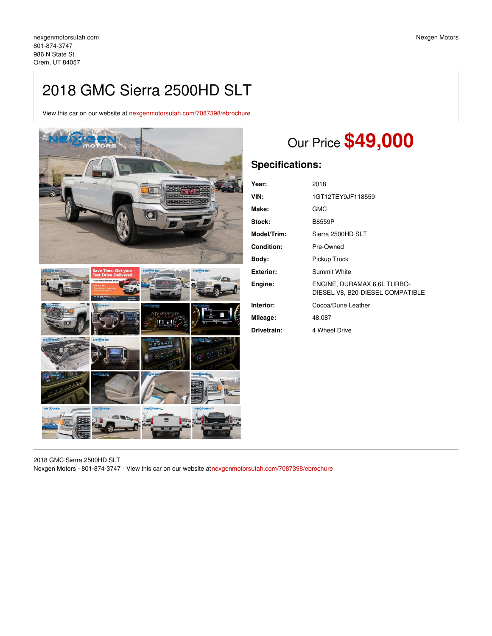# 2018 GMC Sierra 2500HD SLT

View this car on our website at [nexgenmotorsutah.com/7087398/ebrochure](https://nexgenmotorsutah.com/vehicle/7087398/2018-gmc-sierra-2500hd-slt-orem-ut-84057/7087398/ebrochure)



# Our Price **\$49,000**

## **Specifications:**

| Year:             | 2018                                                            |
|-------------------|-----------------------------------------------------------------|
| VIN:              | 1GT12TEY9JF118559                                               |
| Make:             | GMC                                                             |
| Stock:            | B8559P                                                          |
| Model/Trim:       | Sierra 2500HD SLT                                               |
| <b>Condition:</b> | Pre-Owned                                                       |
| Body:             | Pickup Truck                                                    |
| <b>Exterior:</b>  | Summit White                                                    |
| Engine:           | ENGINE, DURAMAX 6.6L TURBO-<br>DIESEL V8, B20-DIESEL COMPATIBLE |
| Interior:         | Cocoa/Dune Leather                                              |
| Mileage:          | 48,087                                                          |
| Drivetrain:       | 4 Wheel Drive                                                   |

2018 GMC Sierra 2500HD SLT Nexgen Motors - 801-874-3747 - View this car on our website at[nexgenmotorsutah.com/7087398/ebrochure](https://nexgenmotorsutah.com/vehicle/7087398/2018-gmc-sierra-2500hd-slt-orem-ut-84057/7087398/ebrochure)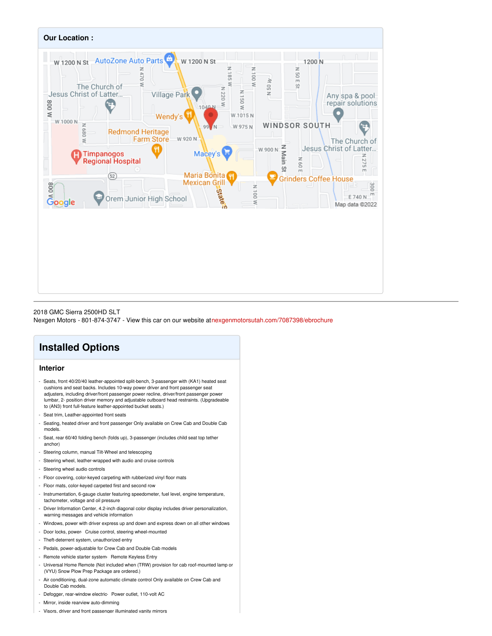

2018 GMC Sierra 2500HD SLT Nexgen Motors - 801-874-3747 - View this car on our website at[nexgenmotorsutah.com/7087398/ebrochure](https://nexgenmotorsutah.com/vehicle/7087398/2018-gmc-sierra-2500hd-slt-orem-ut-84057/7087398/ebrochure)

## **Installed Options**

### **Interior**

- Seats, front 40/20/40 leather-appointed split-bench, 3-passenger with (KA1) heated seat cushions and seat backs. Includes 10-way power driver and front passenger seat adjusters, including driver/front passenger power recline, driver/front passenger power lumbar, 2- position driver memory and adjustable outboard head restraints. (Upgradeable to (AN3) front full-feature leather-appointed bucket seats.)
- Seat trim, Leather-appointed front seats
- Seating, heated driver and front passenger Only available on Crew Cab and Double Cab models.
- Seat, rear 60/40 folding bench (folds up), 3-passenger (includes child seat top tether anchor)
- Steering column, manual Tilt-Wheel and telescoping
- Steering wheel, leather-wrapped with audio and cruise controls
- Steering wheel audio controls
- Floor covering, color-keyed carpeting with rubberized vinyl floor mats
- Floor mats, color-keyed carpeted first and second row
- Instrumentation, 6-gauge cluster featuring speedometer, fuel level, engine temperature, tachometer, voltage and oil pressure
- Driver Information Center, 4.2-inch diagonal color display includes driver personalization, warning messages and vehicle information
- Windows, power with driver express up and down and express down on all other windows
- Door locks, power- Cruise control, steering wheel-mounted
- Theft-deterrent system, unauthorized entry
- Pedals, power-adjustable for Crew Cab and Double Cab models
- Remote vehicle starter system- Remote Keyless Entry
- Universal Home Remote (Not included when (TRW) provision for cab roof-mounted lamp or (VYU) Snow Plow Prep Package are ordered.)
- Air conditioning, dual-zone automatic climate control Only available on Crew Cab and Double Cab models.
- Defogger, rear-window electric- Power outlet, 110-volt AC
- Mirror, inside rearview auto-dimming
- Visors, driver and front passenger illuminated vanity mirrors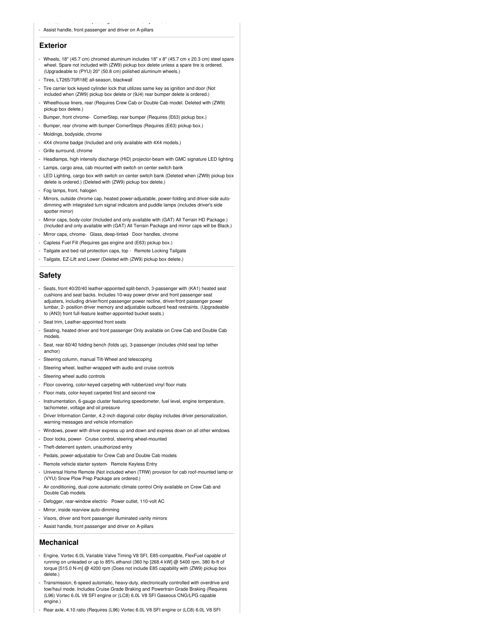#### - Visors, driver and front passenger illuminated vanity mirrors - Assist handle, front passenger and driver on A-pillars

#### **Exterior**

- Wheels, 18" (45.7 cm) chromed aluminum includes 18" x 8" (45.7 cm x 20.3 cm) steel spare wheel. Spare not included with (ZW9) pickup box delete unless a spare tire is ordered. (Upgradeable to (PYU) 20" (50.8 cm) polished aluminum wheels.)
- Tires, LT265/70R18E all-season, blackwall
- Tire carrier lock keyed cylinder lock that utilizes same key as ignition and door (Not included when (ZW9) pickup box delete or (9J4) rear bumper delete is ordered.)
- Wheelhouse liners, rear (Requires Crew Cab or Double Cab model. Deleted with (ZW9) pickup box delete.)
- Bumper, front chrome- CornerStep, rear bumper (Requires (E63) pickup box.)
- Bumper, rear chrome with bumper CornerSteps (Requires (E63) pickup box.)
- Moldings, bodyside, chrome
- 4X4 chrome badge (Included and only available with 4X4 models.)
- Grille surround, chrome
- Headlamps, high intensity discharge (HID) projector-beam with GMC signature LED lighting
- Lamps, cargo area, cab mounted with switch on center switch bank
- LED Lighting, cargo box with switch on center switch bank (Deleted when (ZW9) pickup box delete is ordered.) (Deleted with (ZW9) pickup box delete.)
- Fog lamps, front, haloger
- Mirrors, outside chrome cap, heated power-adjustable, power-folding and driver-side autodimming with integrated turn signal indicators and puddle lamps (includes driver's side spotter mirror)
- Mirror caps, body-color (Included and only available with (GAT) All Terrain HD Package.) (Included and only available with (GAT) All Terrain Package and mirror caps will be Black.)
- Mirror caps, chrome- Glass, deep-tinted- Door handles, chrome
- Capless Fuel Fill (Requires gas engine and (E63) pickup box.)
- Tailgate and bed rail protection caps, top Remote Locking Tailgate
- Tailgate, EZ-Lift and Lower (Deleted with (ZW9) pickup box delete.)

#### **Safety**

- Seats, front 40/20/40 leather-appointed split-bench, 3-passenger with (KA1) heated seat cushions and seat backs. Includes 10-way power driver and front passenger seat adjusters, including driver/front passenger power recline, driver/front passenger power lumbar, 2- position driver memory and adjustable outboard head restraints. (Upgradeable to (AN3) front full-feature leather-appointed bucket seats.)
- Seat trim, Leather-appointed front seats
- Seating, heated driver and front passenger Only available on Crew Cab and Double Cab models.
- Seat, rear 60/40 folding bench (folds up), 3-passenger (includes child seat top tether anchor)
- Steering column, manual Tilt-Wheel and telescoping
- Steering wheel, leather-wrapped with audio and cruise controls
- Steering wheel audio controls
- Floor covering, color-keyed carpeting with rubberized vinyl floor mats
- Floor mats, color-keyed carpeted first and second row
- Instrumentation, 6-gauge cluster featuring speedometer, fuel level, engine temperature, tachometer, voltage and oil pressure
- Driver Information Center, 4.2-inch diagonal color display includes driver personalization, warning messages and vehicle information
- Windows, power with driver express up and down and express down on all other windows
- Door locks, power- Cruise control, steering wheel-mounted
- Theft-deterrent system, unauthorized entry
- Pedals, power-adjustable for Crew Cab and Double Cab models
- Remote vehicle starter system- Remote Keyless Entry
- Universal Home Remote (Not included when (TRW) provision for cab roof-mounted lamp or (VYU) Snow Plow Prep Package are ordered.)
- Air conditioning, dual-zone automatic climate control Only available on Crew Cab and Double Cab models.
- Defogger, rear-window electric- Power outlet, 110-volt AC
- Mirror, inside rearview auto-dimming
- Visors, driver and front passenger illuminated vanity mirrors
- Assist handle, front passenger and driver on A-pillars
- 

#### **Mechanical**

- Engine, Vortec 6.0L Variable Valve Timing V8 SFI, E85-compatible, FlexFuel capable of running on unleaded or up to 85% ethanol (360 hp [268.4 kW] @ 5400 rpm, 380 lb-ft of torque [515.0 N-m] @ 4200 rpm (Does not include E85 capability with (ZW9) pickup box delete.)
- Transmission, 6-speed automatic, heavy-duty, electronically controlled with overdrive and tow/haul mode. Includes Cruise Grade Braking and Powertrain Grade Braking (Requires (L96) Vortec 6.0L V8 SFI engine or (LC8) 6.0L V8 SFI Gaseous CNG/LPG capable engine.)
- Rear axle, 4.10 ratio (Requires (L96) Vortec 6.0L V8 SFI engine or (LC8) 6.0L V8 SFI